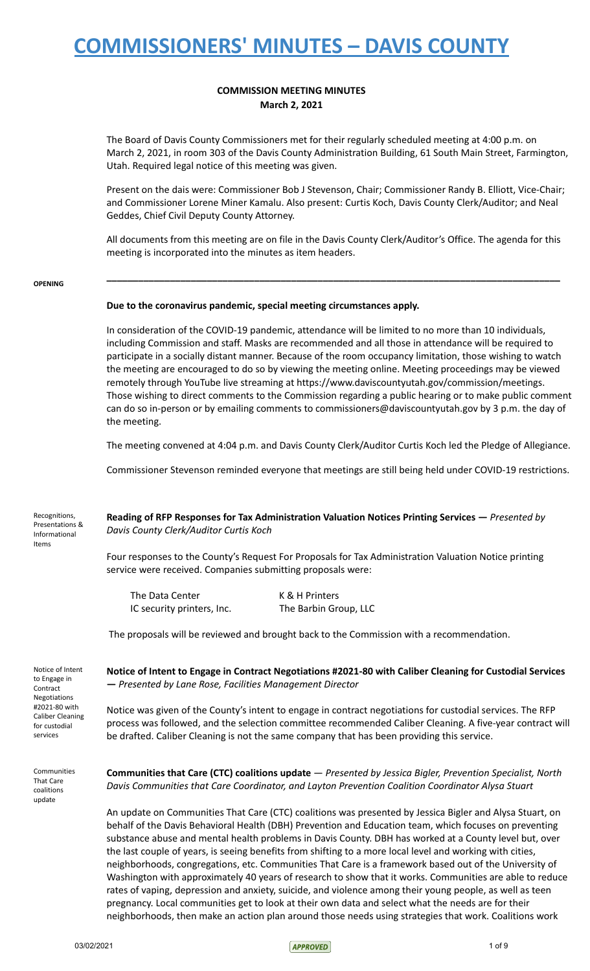## **COMMISSION MEETING MINUTES March 2, 2021**

The Board of Davis County Commissioners met for their regularly scheduled meeting at 4:00 p.m. on March 2, 2021, in room 303 of the Davis County Administration Building, 61 South Main Street, Farmington, Utah. Required legal notice of this meeting was given.

Present on the dais were: Commissioner Bob J Stevenson, Chair; Commissioner Randy B. Elliott, Vice-Chair; and Commissioner Lorene Miner Kamalu. Also present: Curtis Koch, Davis County Clerk/Auditor; and Neal Geddes, Chief Civil Deputy County Attorney.

All documents from this meeting are on file in the Davis County Clerk/Auditor's Office. The agenda for this meeting is incorporated into the minutes as item headers.

**\_\_\_\_\_\_\_\_\_\_\_\_\_\_\_\_\_\_\_\_\_\_\_\_\_\_\_\_\_\_\_\_\_\_\_\_\_\_\_\_\_\_\_\_\_\_\_\_\_\_\_\_\_\_\_\_\_\_\_\_\_\_\_\_\_\_\_\_\_\_\_\_\_\_\_\_\_\_\_\_\_\_\_\_\_\_**

### **OPENING**

### **Due to the coronavirus pandemic, special meeting circumstances apply.**

In consideration of the COVID-19 pandemic, attendance will be limited to no more than 10 individuals, including Commission and staff. Masks are recommended and all those in attendance will be required to participate in a socially distant manner. Because of the room occupancy limitation, those wishing to watch the meeting are encouraged to do so by viewing the meeting online. Meeting proceedings may be viewed remotely through YouTube live streaming at https://www.daviscountyutah.gov/commission/meetings. Those wishing to direct comments to the Commission regarding a public hearing or to make public comment can do so in-person or by emailing comments to commissioners@daviscountyutah.gov by 3 p.m. the day of the meeting.

The meeting convened at 4:04 p.m. and Davis County Clerk/Auditor Curtis Koch led the Pledge of Allegiance.

Commissioner Stevenson reminded everyone that meetings are still being held under COVID-19 restrictions.

| Recognitions,<br>Presentations &<br>Informational<br>Items          | Reading of RFP Responses for Tax Administration Valuation Notices Printing Services – Presented by<br>Davis County Clerk/Auditor Curtis Koch                                                                                  |                       |
|---------------------------------------------------------------------|-------------------------------------------------------------------------------------------------------------------------------------------------------------------------------------------------------------------------------|-----------------------|
|                                                                     | Four responses to the County's Request For Proposals for Tax Administration Valuation Notice printing<br>service were received. Companies submitting proposals were:                                                          |                       |
|                                                                     | The Data Center                                                                                                                                                                                                               | K & H Printers        |
|                                                                     | IC security printers, Inc.                                                                                                                                                                                                    | The Barbin Group, LLC |
|                                                                     | The proposals will be reviewed and brought back to the Commission with a recommendation.                                                                                                                                      |                       |
| Notice of Intent<br>to Engage in<br>Contract<br><b>Negotiations</b> | Notice of Intent to Engage in Contract Negotiations #2021-80 with Caliber Cleaning for Custodial Services<br>- Presented by Lane Rose, Facilities Management Director                                                         |                       |
| #2021-80 with<br>Caliber Cleaning                                   | Notice was given of the County's intent to engage in contract negotiations for custodial services. The RFP<br>the contract of the contract of the contract of the contract of the contract of the contract of the contract of |                       |

process was followed, and the selection committee recommended Caliber Cleaning. A five-year contract will be drafted. Caliber Cleaning is not the same company that has been providing this service.

Communities That Care coalitions update

for custodial services

> **Communities that Care (CTC) coalitions update** — *Presented by Jessica Bigler, Prevention Specialist, North Davis Communities that Care Coordinator, and Layton Prevention Coalition Coordinator Alysa Stuart*

An update on Communities That Care (CTC) coalitions was presented by Jessica Bigler and Alysa Stuart, on behalf of the Davis Behavioral Health (DBH) Prevention and Education team, which focuses on preventing substance abuse and mental health problems in Davis County. DBH has worked at a County level but, over the last couple of years, is seeing benefits from shifting to a more local level and working with cities, neighborhoods, congregations, etc. Communities That Care is a framework based out of the University of Washington with approximately 40 years of research to show that it works. Communities are able to reduce rates of vaping, depression and anxiety, suicide, and violence among their young people, as well as teen pregnancy. Local communities get to look at their own data and select what the needs are for their neighborhoods, then make an action plan around those needs using strategies that work. Coalitions work

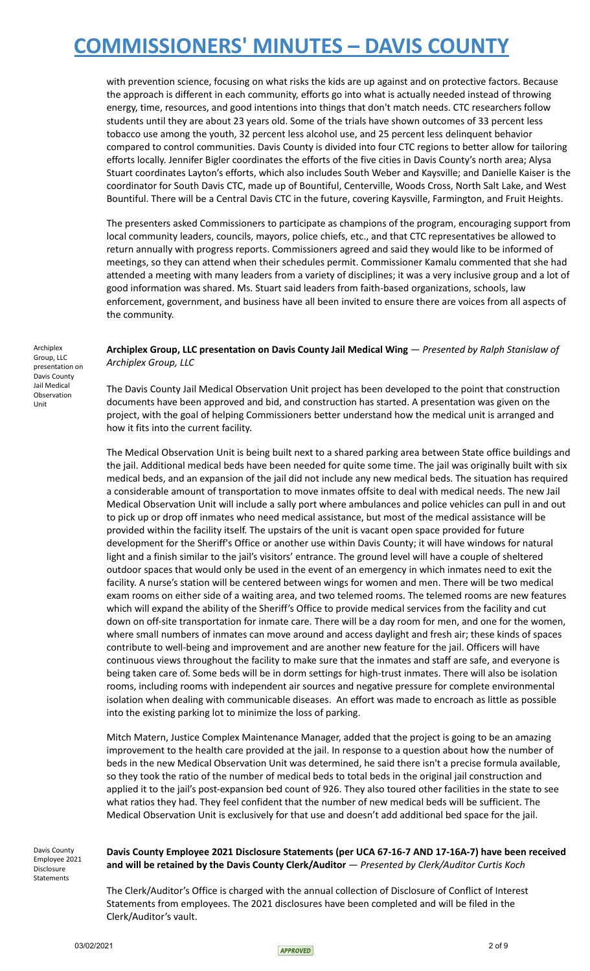with prevention science, focusing on what risks the kids are up against and on protective factors. Because the approach is different in each community, efforts go into what is actually needed instead of throwing energy, time, resources, and good intentions into things that don't match needs. CTC researchers follow students until they are about 23 years old. Some of the trials have shown outcomes of 33 percent less tobacco use among the youth, 32 percent less alcohol use, and 25 percent less delinquent behavior compared to control communities. Davis County is divided into four CTC regions to better allow for tailoring efforts locally. Jennifer Bigler coordinates the efforts of the five cities in Davis County's north area; Alysa Stuart coordinates Layton's efforts, which also includes South Weber and Kaysville; and Danielle Kaiser is the coordinator for South Davis CTC, made up of Bountiful, Centerville, Woods Cross, North Salt Lake, and West Bountiful. There will be a Central Davis CTC in the future, covering Kaysville, Farmington, and Fruit Heights.

The presenters asked Commissioners to participate as champions of the program, encouraging support from local community leaders, councils, mayors, police chiefs, etc., and that CTC representatives be allowed to return annually with progress reports. Commissioners agreed and said they would like to be informed of meetings, so they can attend when their schedules permit. Commissioner Kamalu commented that she had attended a meeting with many leaders from a variety of disciplines; it was a very inclusive group and a lot of good information was shared. Ms. Stuart said leaders from faith-based organizations, schools, law enforcement, government, and business have all been invited to ensure there are voices from all aspects of the community.

**Archiplex Group, LLC presentation on Davis County Jail Medical Wing** — *Presented by Ralph Stanislaw of Archiplex Group, LLC*

The Davis County Jail Medical Observation Unit project has been developed to the point that construction documents have been approved and bid, and construction has started. A presentation was given on the project, with the goal of helping Commissioners better understand how the medical unit is arranged and how it fits into the current facility.

The Medical Observation Unit is being built next to a shared parking area between State office buildings and the jail. Additional medical beds have been needed for quite some time. The jail was originally built with six medical beds, and an expansion of the jail did not include any new medical beds. The situation has required a considerable amount of transportation to move inmates offsite to deal with medical needs. The new Jail Medical Observation Unit will include a sally port where ambulances and police vehicles can pull in and out to pick up or drop off inmates who need medical assistance, but most of the medical assistance will be provided within the facility itself. The upstairs of the unit is vacant open space provided for future development for the Sheriff's Office or another use within Davis County; it will have windows for natural light and a finish similar to the jail's visitors' entrance. The ground level will have a couple of sheltered outdoor spaces that would only be used in the event of an emergency in which inmates need to exit the facility. A nurse's station will be centered between wings for women and men. There will be two medical exam rooms on either side of a waiting area, and two telemed rooms. The telemed rooms are new features which will expand the ability of the Sheriff's Office to provide medical services from the facility and cut down on off-site transportation for inmate care. There will be a day room for men, and one for the women, where small numbers of inmates can move around and access daylight and fresh air; these kinds of spaces contribute to well-being and improvement and are another new feature for the jail. Officers will have continuous views throughout the facility to make sure that the inmates and staff are safe, and everyone is being taken care of. Some beds will be in dorm settings for high-trust inmates. There will also be isolation rooms, including rooms with independent air sources and negative pressure for complete environmental isolation when dealing with communicable diseases. An effort was made to encroach as little as possible into the existing parking lot to minimize the loss of parking.

Mitch Matern, Justice Complex Maintenance Manager, added that the project is going to be an amazing improvement to the health care provided at the jail. In response to a question about how the number of beds in the new Medical Observation Unit was determined, he said there isn't a precise formula available, so they took the ratio of the number of medical beds to total beds in the original jail construction and applied it to the jail's post-expansion bed count of 926. They also toured other facilities in the state to see what ratios they had. They feel confident that the number of new medical beds will be sufficient. The Medical Observation Unit is exclusively for that use and doesn't add additional bed space for the jail.

Davis County Employee 2021 Disclosure Statements

## **Davis County Employee 2021 Disclosure Statements (per UCA 67-16-7 AND 17-16A-7) have been received and will be retained by the Davis County Clerk/Auditor** — *Presented by Clerk/Auditor Curtis Koch*

The Clerk/Auditor's Office is charged with the annual collection of Disclosure of Conflict of Interest Statements from employees. The 2021 disclosures have been completed and will be filed in the Clerk/Auditor's vault.

Archiplex Group, LLC presentation on Davis County Jail Medical Observation Unit

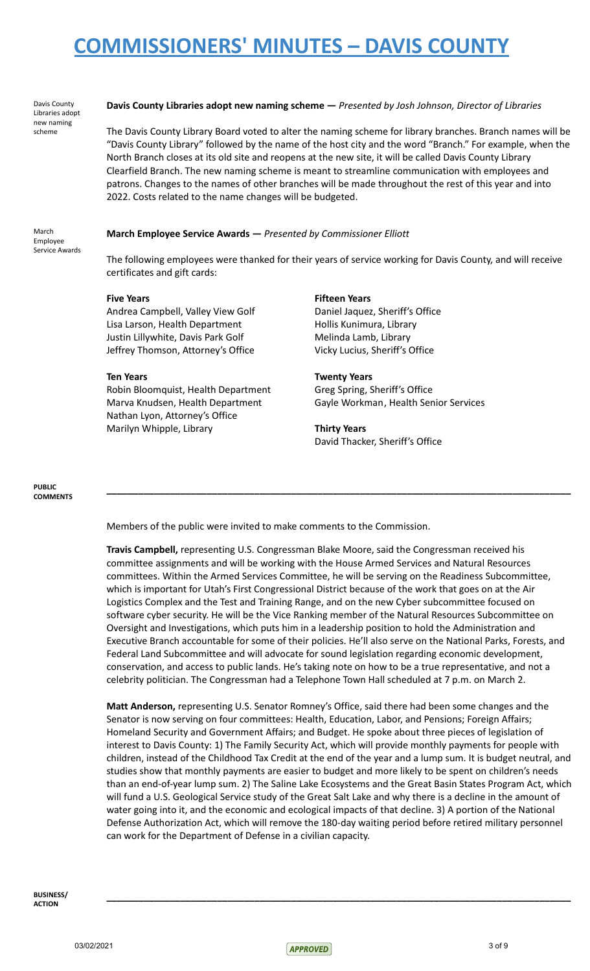Davis County Libraries adopt new naming scheme

## **Davis County Libraries adopt new naming scheme —** *Presented by Josh Johnson, Director of Libraries*

The Davis County Library Board voted to alter the naming scheme for library branches. Branch names will be "Davis County Library" followed by the name of the host city and the word "Branch." For example, when the North Branch closes at its old site and reopens at the new site, it will be called Davis County Library Clearfield Branch. The new naming scheme is meant to streamline communication with employees and patrons. Changes to the names of other branches will be made throughout the rest of this year and into 2022. Costs related to the name changes will be budgeted.

### March Employee Service Awards

## **March Employee Service Awards —** *Presented by Commissioner Elliott*

The following employees were thanked for their years of service working for Davis County, and will receive certificates and gift cards:

Andrea Campbell, Valley View Golf Daniel Jaquez, Sheriff's Office Lisa Larson, Health Department Hollis Kunimura, Library Justin Lillywhite, Davis Park Golf Melinda Lamb, Library Jeffrey Thomson, Attorney's Office Vicky Lucius, Sheriff's Office

Robin Bloomquist, Health Department Greg Spring, Sheriff's Office Nathan Lyon, Attorney's Office Marilyn Whipple, Library **Thirty Years**

## **Five Years Fifteen Years**

## **Ten Years Twenty Years**

Marva Knudsen, Health Department Gayle Workman, Health Senior Services

**\_\_\_\_\_\_\_\_\_\_\_\_\_\_\_\_\_\_\_\_\_\_\_\_\_\_\_\_\_\_\_\_\_\_\_\_\_\_\_\_\_\_\_\_\_\_\_\_\_\_\_\_\_\_\_\_\_\_\_\_\_\_\_\_\_\_\_\_\_\_\_\_\_\_\_\_\_\_\_\_\_\_\_\_\_\_\_\_**

David Thacker, Sheriff's Office

### **PUBLIC COMMENTS**

Members of the public were invited to make comments to the Commission.

**Travis Campbell,** representing U.S. Congressman Blake Moore, said the Congressman received his committee assignments and will be working with the House Armed Services and Natural Resources committees. Within the Armed Services Committee, he will be serving on the Readiness Subcommittee, which is important for Utah's First Congressional District because of the work that goes on at the Air Logistics Complex and the Test and Training Range, and on the new Cyber subcommittee focused on software cyber security. He will be the Vice Ranking member of the Natural Resources Subcommittee on Oversight and Investigations, which puts him in a leadership position to hold the Administration and Executive Branch accountable for some of their policies. He'll also serve on the National Parks, Forests, and Federal Land Subcommittee and will advocate for sound legislation regarding economic development, conservation, and access to public lands. He's taking note on how to be a true representative, and not a celebrity politician. The Congressman had a Telephone Town Hall scheduled at 7 p.m. on March 2.

**Matt Anderson,** representing U.S. Senator Romney's Office, said there had been some changes and the Senator is now serving on four committees: Health, Education, Labor, and Pensions; Foreign Affairs; Homeland Security and Government Affairs; and Budget. He spoke about three pieces of legislation of interest to Davis County: 1) The Family Security Act, which will provide monthly payments for people with children, instead of the Childhood Tax Credit at the end of the year and a lump sum. It is budget neutral, and studies show that monthly payments are easier to budget and more likely to be spent on children's needs than an end-of-year lump sum. 2) The Saline Lake Ecosystems and the Great Basin States Program Act, which will fund a U.S. Geological Service study of the Great Salt Lake and why there is a decline in the amount of water going into it, and the economic and ecological impacts of that decline. 3) A portion of the National Defense Authorization Act, which will remove the 180-day waiting period before retired military personnel can work for the Department of Defense in a civilian capacity.

**\_\_\_\_\_\_\_\_\_\_\_\_\_\_\_\_\_\_\_\_\_\_\_\_\_\_\_\_\_\_\_\_\_\_\_\_\_\_\_\_\_\_\_\_\_\_\_\_\_\_\_\_\_\_\_\_\_\_\_\_\_\_\_\_\_\_\_\_\_\_\_\_\_\_\_\_\_\_\_\_\_\_\_\_\_\_\_\_**

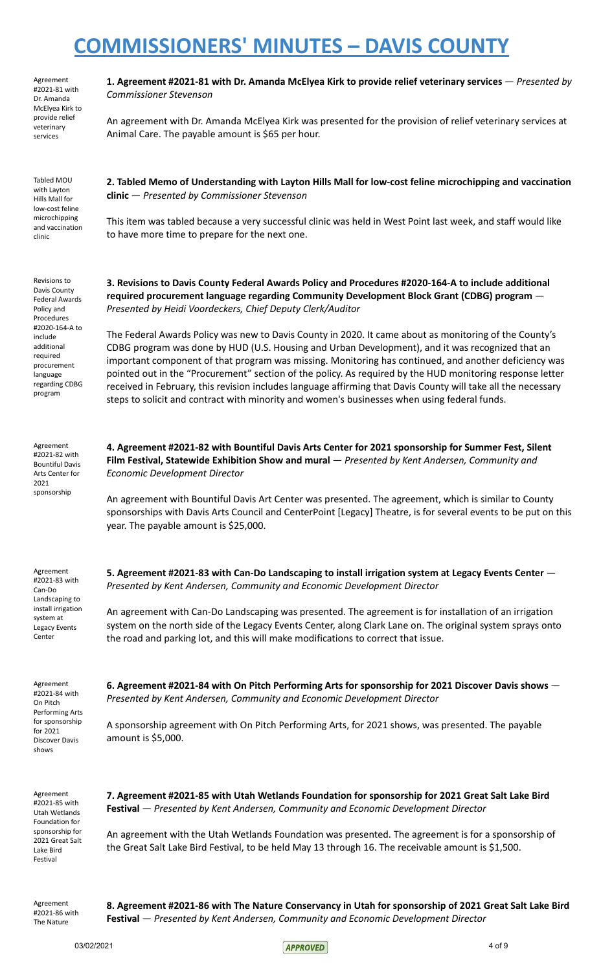Agreement #2021-81 with Dr. Amanda McElyea Kirk to provide relief veterinary services

Tabled MOU with Layton Hills Mall for low-cost feline microchipping and vaccination clinic

Revisions to Davis County Federal Awards Policy and Procedures #2020-164-A to include additional required procurement language regarding CDBG program

Agreement #2021-82 with Bountiful Davis Arts Center for 2021 sponsorship

**1. Agreement #2021-81 with Dr. Amanda McElyea Kirk to provide relief veterinary services** — *Presented by Commissioner Stevenson*

An agreement with Dr. Amanda McElyea Kirk was presented for the provision of relief veterinary services at Animal Care. The payable amount is \$65 per hour.

**2. Tabled Memo of Understanding with Layton Hills Mall for low-cost feline microchipping and vaccination clinic** — *Presented by Commissioner Stevenson*

This item was tabled because a very successful clinic was held in West Point last week, and staff would like to have more time to prepare for the next one.

**3. Revisions to Davis County Federal Awards Policy and Procedures #2020-164-A to include additional required procurement language regarding Community Development Block Grant (CDBG) program** — *Presented by Heidi Voordeckers, Chief Deputy Clerk/Auditor*

The Federal Awards Policy was new to Davis County in 2020. It came about as monitoring of the County's CDBG program was done by HUD (U.S. Housing and Urban Development), and it was recognized that an important component of that program was missing. Monitoring has continued, and another deficiency was pointed out in the "Procurement" section of the policy. As required by the HUD monitoring response letter received in February, this revision includes language affirming that Davis County will take all the necessary steps to solicit and contract with minority and women's businesses when using federal funds.

**4. Agreement #2021-82 with Bountiful Davis Arts Center for 2021 sponsorship for Summer Fest, Silent Film Festival, Statewide Exhibition Show and mural** — *Presented by Kent Andersen, Community and Economic Development Director*

An agreement with Bountiful Davis Art Center was presented. The agreement, which is similar to County sponsorships with Davis Arts Council and CenterPoint [Legacy] Theatre, is for several events to be put on this year. The payable amount is \$25,000.

Agreement #2021-83 with Can-Do Landscaping to install irrigation system at Legacy Events Center

Agreement #2021-84 with On Pitch Performing Arts for sponsorship for 2021 Discover Davis shows

the road and parking lot, and this will make modifications to correct that issue.

**5. Agreement #2021-83 with Can-Do Landscaping to install irrigation system at Legacy Events Center** —

An agreement with Can-Do Landscaping was presented. The agreement is for installation of an irrigation system on the north side of the Legacy Events Center, along Clark Lane on. The original system sprays onto

*Presented by Kent Andersen, Community and Economic Development Director*

**6. Agreement #2021-84 with On Pitch Performing Arts for sponsorship for 2021 Discover Davis shows** — *Presented by Kent Andersen, Community and Economic Development Director*

A sponsorship agreement with On Pitch Performing Arts, for 2021 shows, was presented. The payable amount is \$5,000.

Agreement #2021-85 with Utah Wetlands Foundation for sponsorship for 2021 Great Salt Lake Bird Festival

**7. Agreement #2021-85 with Utah Wetlands Foundation for sponsorship for 2021 Great Salt Lake Bird Festival** — *Presented by Kent Andersen, Community and Economic Development Director*

An agreement with the Utah Wetlands Foundation was presented. The agreement is for a sponsorship of the Great Salt Lake Bird Festival, to be held May 13 through 16. The receivable amount is \$1,500.

Agreement #2021-86 with The Nature

**8. Agreement #2021-86 with The Nature Conservancy in Utah for sponsorship of 2021 Great Salt Lake Bird Festival** — *Presented by Kent Andersen, Community and Economic Development Director*

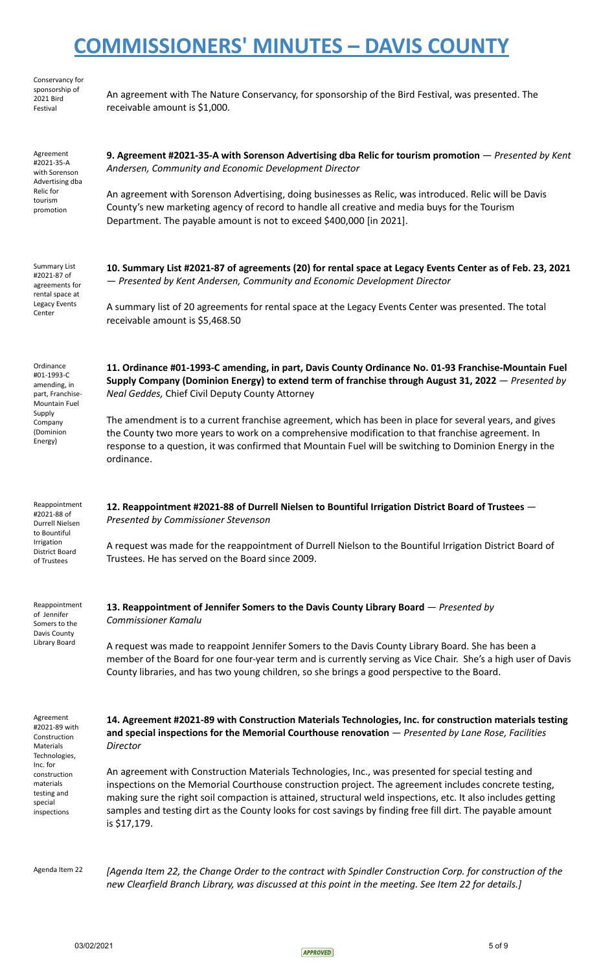| Conservancy for<br>sponsorship of<br>2021 Bird<br>Festival                                                                                                 | An agreement with The Nature Conservancy, for sponsorship of the Bird Festival, was presented. The<br>receivable amount is \$1,000.                                                                                                                                                                                                                                                                                                                                                                                                                                                                                                                                                          |
|------------------------------------------------------------------------------------------------------------------------------------------------------------|----------------------------------------------------------------------------------------------------------------------------------------------------------------------------------------------------------------------------------------------------------------------------------------------------------------------------------------------------------------------------------------------------------------------------------------------------------------------------------------------------------------------------------------------------------------------------------------------------------------------------------------------------------------------------------------------|
| Agreement<br>#2021-35-A<br>with Sorenson<br>Advertising dba<br>Relic for<br>tourism<br>promotion                                                           | 9. Agreement #2021-35-A with Sorenson Advertising dba Relic for tourism promotion — Presented by Kent<br>Andersen, Community and Economic Development Director<br>An agreement with Sorenson Advertising, doing businesses as Relic, was introduced. Relic will be Davis<br>County's new marketing agency of record to handle all creative and media buys for the Tourism<br>Department. The payable amount is not to exceed \$400,000 [in 2021].                                                                                                                                                                                                                                            |
| Summary List<br>#2021-87 of<br>agreements for<br>rental space at<br>Legacy Events<br>Center                                                                | 10. Summary List #2021-87 of agreements (20) for rental space at Legacy Events Center as of Feb. 23, 2021<br>- Presented by Kent Andersen, Community and Economic Development Director<br>A summary list of 20 agreements for rental space at the Legacy Events Center was presented. The total<br>receivable amount is \$5,468.50                                                                                                                                                                                                                                                                                                                                                           |
| Ordinance<br>#01-1993-C<br>amending, in<br>part, Franchise-<br>Mountain Fuel<br>Supply<br>Company<br>(Dominion<br>Energy)                                  | 11. Ordinance #01-1993-C amending, in part, Davis County Ordinance No. 01-93 Franchise-Mountain Fuel<br>Supply Company (Dominion Energy) to extend term of franchise through August 31, 2022 – Presented by<br>Neal Geddes, Chief Civil Deputy County Attorney<br>The amendment is to a current franchise agreement, which has been in place for several years, and gives<br>the County two more years to work on a comprehensive modification to that franchise agreement. In<br>response to a question, it was confirmed that Mountain Fuel will be switching to Dominion Energy in the<br>ordinance.                                                                                      |
| Reappointment<br>#2021-88 of<br>Durrell Nielsen<br>to Bountiful<br>Irrigation<br>District Board<br>of Trustees                                             | 12. Reappointment #2021-88 of Durrell Nielsen to Bountiful Irrigation District Board of Trustees -<br>Presented by Commissioner Stevenson<br>A request was made for the reappointment of Durrell Nielson to the Bountiful Irrigation District Board of<br>Trustees. He has served on the Board since 2009.                                                                                                                                                                                                                                                                                                                                                                                   |
| Reappointment<br>of Jennifer<br>Somers to the<br>Davis County<br>Library Board                                                                             | 13. Reappointment of Jennifer Somers to the Davis County Library Board - Presented by<br><b>Commissioner Kamalu</b><br>A request was made to reappoint Jennifer Somers to the Davis County Library Board. She has been a<br>member of the Board for one four-year term and is currently serving as Vice Chair. She's a high user of Davis<br>County libraries, and has two young children, so she brings a good perspective to the Board.                                                                                                                                                                                                                                                    |
| Agreement<br>#2021-89 with<br>Construction<br>Materials<br>Technologies,<br>Inc. for<br>construction<br>materials<br>testing and<br>special<br>inspections | 14. Agreement #2021-89 with Construction Materials Technologies, Inc. for construction materials testing<br>and special inspections for the Memorial Courthouse renovation $-$ Presented by Lane Rose, Facilities<br>Director<br>An agreement with Construction Materials Technologies, Inc., was presented for special testing and<br>inspections on the Memorial Courthouse construction project. The agreement includes concrete testing,<br>making sure the right soil compaction is attained, structural weld inspections, etc. It also includes getting<br>samples and testing dirt as the County looks for cost savings by finding free fill dirt. The payable amount<br>is \$17,179. |
| Agenda Item 22                                                                                                                                             | [Agenda Item 22, the Change Order to the contract with Spindler Construction Corp. for construction of the<br>new Clearfield Branch Library, was discussed at this point in the meeting. See Item 22 for details.]                                                                                                                                                                                                                                                                                                                                                                                                                                                                           |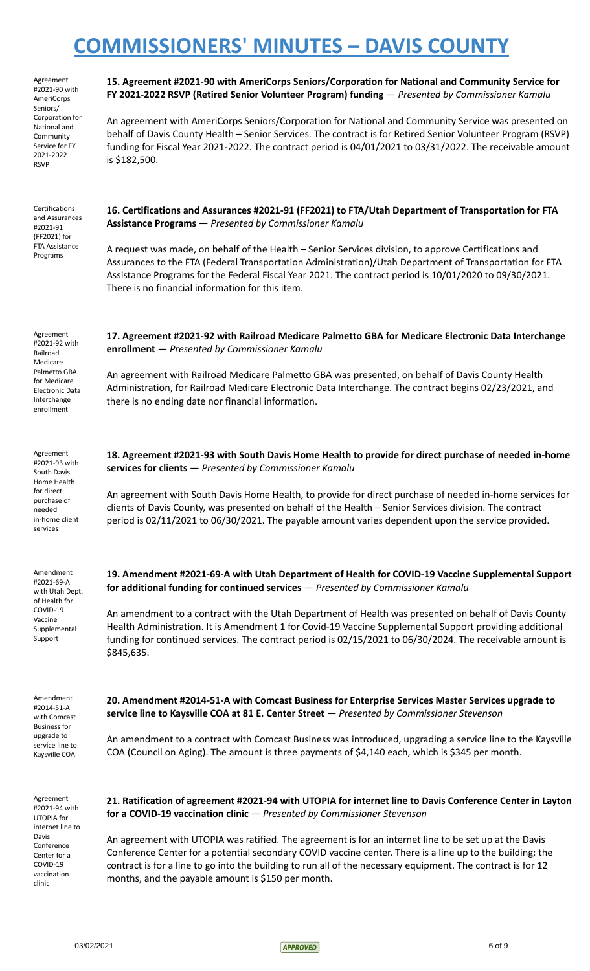Agreement #2021-90 with AmeriCorps Seniors/ Corporation for National and **Community** Service for FY 2021-2022 RSVP

Certifications and Assurances #2021-91 (FF2021) for FTA Assistance Programs

**15. Agreement #2021-90 with AmeriCorps Seniors/Corporation for National and Community Service for FY 2021-2022 RSVP (Retired Senior Volunteer Program) funding** — *Presented by Commissioner Kamalu*

An agreement with AmeriCorps Seniors/Corporation for National and Community Service was presented on behalf of Davis County Health – Senior Services. The contract is for Retired Senior Volunteer Program (RSVP) funding for Fiscal Year 2021-2022. The contract period is 04/01/2021 to 03/31/2022. The receivable amount is \$182,500.

**16. Certifications and Assurances #2021-91 (FF2021) to FTA/Utah Department of Transportation for FTA Assistance Programs** — *Presented by Commissioner Kamalu*

A request was made, on behalf of the Health – Senior Services division, to approve Certifications and Assurances to the FTA (Federal Transportation Administration)/Utah Department of Transportation for FTA Assistance Programs for the Federal Fiscal Year 2021. The contract period is 10/01/2020 to 09/30/2021. There is no financial information for this item.

Agreement #2021-92 with Railroad Medicare Palmetto GBA for Medicare Electronic Data Interchange enrollment

Agreement #2021-93 with South Davis Home Health for direct purchase of needed in-home client services

Amendment #2021-69-A with Utah Dept. of Health for COVID-19 Vaccine Supplemental Support

Amendment #2014-51-A with Comcast Business for upgrade to service line to Kaysville COA

Agreement #2021-94 with UTOPIA for internet line to Davis Conference Center for a COVID-19 vaccination clinic

**17. Agreement #2021-92 with Railroad Medicare Palmetto GBA for Medicare Electronic Data Interchange enrollment** — *Presented by Commissioner Kamalu*

An agreement with Railroad Medicare Palmetto GBA was presented, on behalf of Davis County Health Administration, for Railroad Medicare Electronic Data Interchange. The contract begins 02/23/2021, and there is no ending date nor financial information.

**18. Agreement #2021-93 with South Davis Home Health to provide for direct purchase of needed in-home services for clients** — *Presented by Commissioner Kamalu*

An agreement with South Davis Home Health, to provide for direct purchase of needed in-home services for clients of Davis County, was presented on behalf of the Health – Senior Services division. The contract period is 02/11/2021 to 06/30/2021. The payable amount varies dependent upon the service provided.

**19. Amendment #2021-69-A with Utah Department of Health for COVID-19 Vaccine Supplemental Support for additional funding for continued services** — *Presented by Commissioner Kamalu*

An amendment to a contract with the Utah Department of Health was presented on behalf of Davis County Health Administration. It is Amendment 1 for Covid-19 Vaccine Supplemental Support providing additional funding for continued services. The contract period is 02/15/2021 to 06/30/2024. The receivable amount is \$845,635.

**20. Amendment #2014-51-A with Comcast Business for Enterprise Services Master Services upgrade to service line to Kaysville COA at 81 E. Center Street** — *Presented by Commissioner Stevenson*

An amendment to a contract with Comcast Business was introduced, upgrading a service line to the Kaysville COA (Council on Aging). The amount is three payments of \$4,140 each, which is \$345 per month.

**21. Ratification of agreement #2021-94 with UTOPIA for internet line to Davis Conference Center in Layton for a COVID-19 vaccination clinic** — *Presented by Commissioner Stevenson*

An agreement with UTOPIA was ratified. The agreement is for an internet line to be set up at the Davis Conference Center for a potential secondary COVID vaccine center. There is a line up to the building; the contract is for a line to go into the building to run all of the necessary equipment. The contract is for 12 months, and the payable amount is \$150 per month.

 $03/02/2021$  6 of 9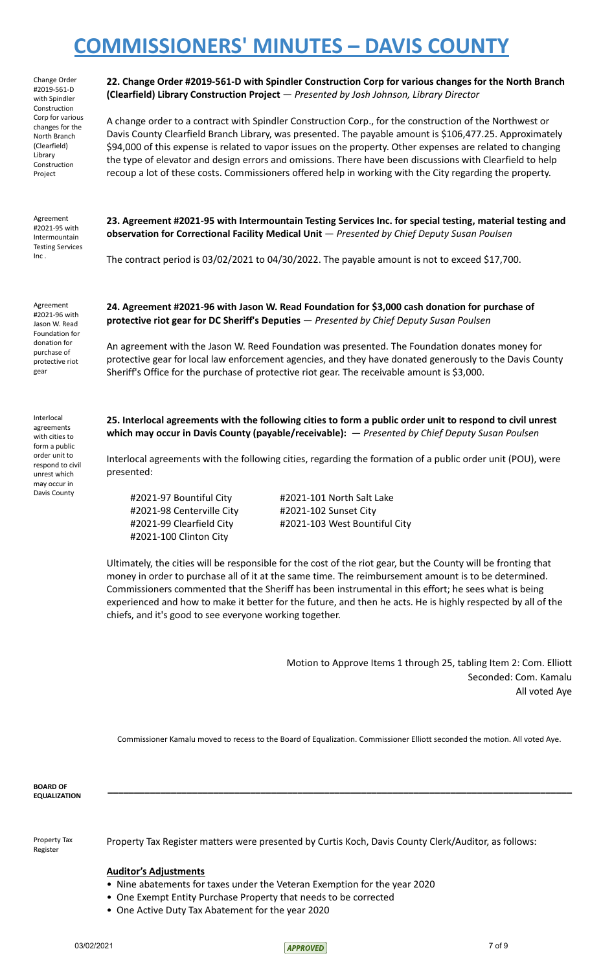Change Order #2019-561-D with Spindler Construction Corp for various changes for the North Branch (Clearfield) Library Construction Project

Agreement #2021-95 with Intermountain Testing Services Inc .

**22. Change Order #2019-561-D with Spindler Construction Corp for various changes for the North Branch (Clearfield) Library Construction Project** — *Presented by Josh Johnson, Library Director*

A change order to a contract with Spindler Construction Corp., for the construction of the Northwest or Davis County Clearfield Branch Library, was presented. The payable amount is \$106,477.25. Approximately \$94,000 of this expense is related to vapor issues on the property. Other expenses are related to changing the type of elevator and design errors and omissions. There have been discussions with Clearfield to help recoup a lot of these costs. Commissioners offered help in working with the City regarding the property.

**23. Agreement #2021-95 with Intermountain Testing Services Inc. for special testing, material testing and observation for Correctional Facility Medical Unit** — *Presented by Chief Deputy Susan Poulsen*

The contract period is 03/02/2021 to 04/30/2022. The payable amount is not to exceed \$17,700.

Agreement #2021-96 with Jason W. Read Foundation for donation for purchase of protective riot gear

Interlocal agreements with cities to form a public order unit to respond to civil unrest which may occur in Davis County

**24. Agreement #2021-96 with Jason W. Read Foundation for \$3,000 cash donation for purchase of protective riot gear for DC Sheriff's Deputies** — *Presented by Chief Deputy Susan Poulsen*

An agreement with the Jason W. Reed Foundation was presented. The Foundation donates money for protective gear for local law enforcement agencies, and they have donated generously to the Davis County Sheriff's Office for the purchase of protective riot gear. The receivable amount is \$3,000.

25. Interlocal agreements with the following cities to form a public order unit to respond to civil unrest **which may occur in Davis County (payable/receivable):** — *Presented by Chief Deputy Susan Poulsen*

Interlocal agreements with the following cities, regarding the formation of a public order unit (POU), were presented:

#2021-98 Centerville City #2021-102 Sunset City #2021-100 Clinton City

#2021-97 Bountiful City #2021-101 North Salt Lake #2021-99 Clearfield City #2021-103 West Bountiful City

Ultimately, the cities will be responsible for the cost of the riot gear, but the County will be fronting that money in order to purchase all of it at the same time. The reimbursement amount is to be determined. Commissioners commented that the Sheriff has been instrumental in this effort; he sees what is being experienced and how to make it better for the future, and then he acts. He is highly respected by all of the chiefs, and it's good to see everyone working together.

> Motion to Approve Items 1 through 25, tabling Item 2: Com. Elliott Seconded: Com. Kamalu All voted Aye

Commissioner Kamalu moved to recess to the Board of Equalization. Commissioner Elliott seconded the motion. All voted Aye.

**\_\_\_\_\_\_\_\_\_\_\_\_\_\_\_\_\_\_\_\_\_\_\_\_\_\_\_\_\_\_\_\_\_\_\_\_\_\_\_\_\_\_\_\_\_\_\_\_\_\_\_\_\_\_\_\_\_\_\_\_\_\_\_\_\_\_\_\_\_\_\_\_\_\_\_\_\_\_\_\_\_\_\_\_\_\_\_\_**

**BOARD OF EQUALIZATION**

Property Tax Register

Property Tax Register matters were presented by Curtis Koch, Davis County Clerk/Auditor, as follows:

## **Auditor's Adjustments**

- Nine abatements for taxes under the Veteran Exemption for the year 2020
- One Exempt Entity Purchase Property that needs to be corrected
- One Active Duty Tax Abatement for the year 2020

03/02/2021 7 of 9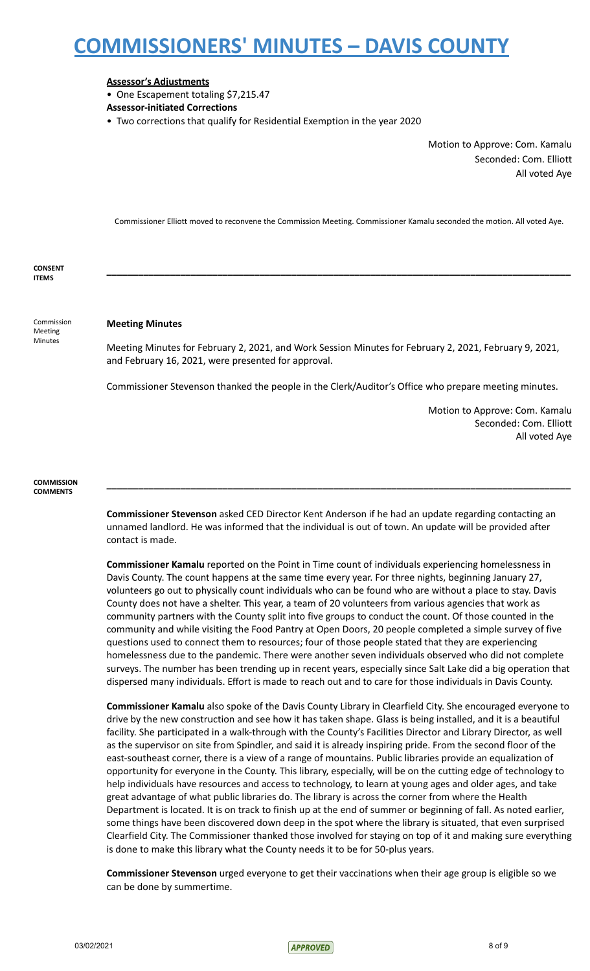## **Assessor's Adjustments**

• One Escapement totaling \$7,215.47

- **Assessor-initiated Corrections**
- Two corrections that qualify for Residential Exemption in the year 2020

Motion to Approve: Com. Kamalu Seconded: Com. Elliott All voted Aye

Commissioner Elliott moved to reconvene the Commission Meeting. Commissioner Kamalu seconded the motion. All voted Aye.

**\_\_\_\_\_\_\_\_\_\_\_\_\_\_\_\_\_\_\_\_\_\_\_\_\_\_\_\_\_\_\_\_\_\_\_\_\_\_\_\_\_\_\_\_\_\_\_\_\_\_\_\_\_\_\_\_\_\_\_\_\_\_\_\_\_\_\_\_\_\_\_\_\_\_\_\_\_\_\_\_\_\_\_\_\_\_\_\_**

**CONSENT ITEMS**

Commission Meeting Minutes

### **Meeting Minutes**

Meeting Minutes for February 2, 2021, and Work Session Minutes for February 2, 2021, February 9, 2021, and February 16, 2021, were presented for approval.

Commissioner Stevenson thanked the people in the Clerk/Auditor's Office who prepare meeting minutes.

Motion to Approve: Com. Kamalu Seconded: Com. Elliott All voted Aye

### **COMMISSION COMMENTS**

**Commissioner Stevenson** asked CED Director Kent Anderson if he had an update regarding contacting an unnamed landlord. He was informed that the individual is out of town. An update will be provided after contact is made.

**\_\_\_\_\_\_\_\_\_\_\_\_\_\_\_\_\_\_\_\_\_\_\_\_\_\_\_\_\_\_\_\_\_\_\_\_\_\_\_\_\_\_\_\_\_\_\_\_\_\_\_\_\_\_\_\_\_\_\_\_\_\_\_\_\_\_\_\_\_\_\_\_\_\_\_\_\_\_\_\_\_\_\_\_\_\_\_\_**

**Commissioner Kamalu** reported on the Point in Time count of individuals experiencing homelessness in Davis County. The count happens at the same time every year. For three nights, beginning January 27, volunteers go out to physically count individuals who can be found who are without a place to stay. Davis County does not have a shelter. This year, a team of 20 volunteers from various agencies that work as community partners with the County split into five groups to conduct the count. Of those counted in the community and while visiting the Food Pantry at Open Doors, 20 people completed a simple survey of five questions used to connect them to resources; four of those people stated that they are experiencing homelessness due to the pandemic. There were another seven individuals observed who did not complete surveys. The number has been trending up in recent years, especially since Salt Lake did a big operation that dispersed many individuals. Effort is made to reach out and to care for those individuals in Davis County.

**Commissioner Kamalu** also spoke of the Davis County Library in Clearfield City. She encouraged everyone to drive by the new construction and see how it has taken shape. Glass is being installed, and it is a beautiful facility. She participated in a walk-through with the County's Facilities Director and Library Director, as well as the supervisor on site from Spindler, and said it is already inspiring pride. From the second floor of the east-southeast corner, there is a view of a range of mountains. Public libraries provide an equalization of opportunity for everyone in the County. This library, especially, will be on the cutting edge of technology to help individuals have resources and access to technology, to learn at young ages and older ages, and take great advantage of what public libraries do. The library is across the corner from where the Health Department is located. It is on track to finish up at the end of summer or beginning of fall. As noted earlier, some things have been discovered down deep in the spot where the library is situated, that even surprised Clearfield City. The Commissioner thanked those involved for staying on top of it and making sure everything is done to make this library what the County needs it to be for 50-plus years.

**Commissioner Stevenson** urged everyone to get their vaccinations when their age group is eligible so we can be done by summertime.